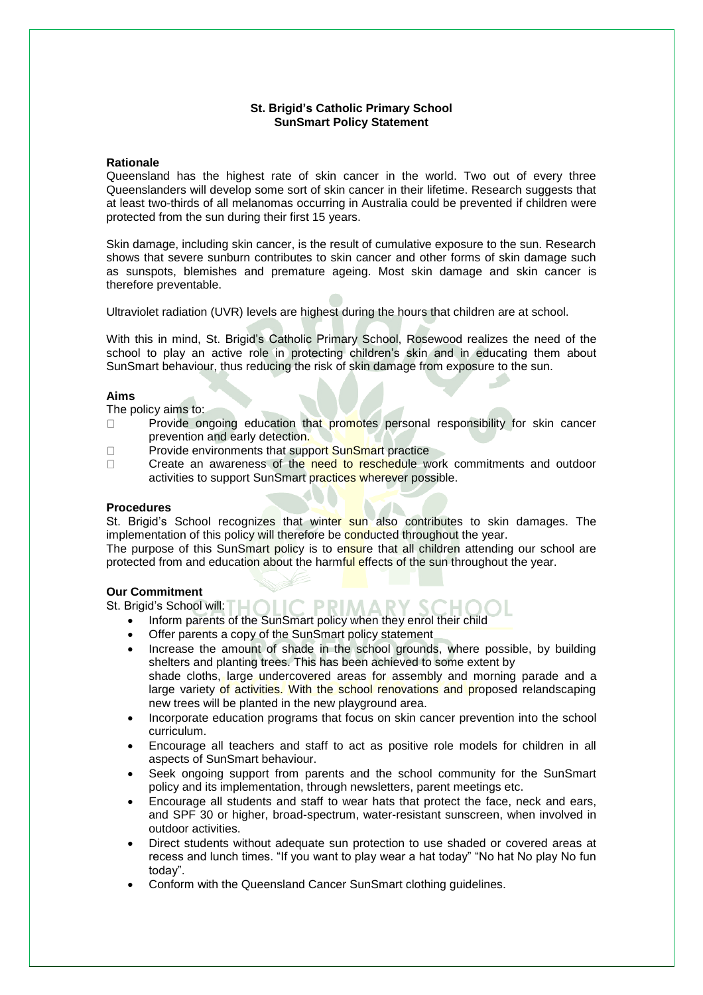# **St. Brigid's Catholic Primary School SunSmart Policy Statement**

## **Rationale**

Queensland has the highest rate of skin cancer in the world. Two out of every three Queenslanders will develop some sort of skin cancer in their lifetime. Research suggests that at least two-thirds of all melanomas occurring in Australia could be prevented if children were protected from the sun during their first 15 years.

Skin damage, including skin cancer, is the result of cumulative exposure to the sun. Research shows that severe sunburn contributes to skin cancer and other forms of skin damage such as sunspots, blemishes and premature ageing. Most skin damage and skin cancer is therefore preventable.

Ultraviolet radiation (UVR) levels are highest during the hours that children are at school.

With this in mind, St. Brigid's Catholic Primary School, Rosewood realizes the need of the school to play an active role in protecting children's skin and in educating them about SunSmart behaviour, thus reducing the risk of skin damage from exposure to the sun.

### **Aims**

The policy aims to:

- Provide ongoing education that promotes personal responsibility for skin cancer  $\Box$ prevention and early detection.
- Provide environments that support SunSmart practice  $\Box$

 $\Box$ Create an awareness of the need to reschedule work commitments and outdoor activities to support SunSmart practices wherever possible.

#### **Procedures**

St. Brigid's School recognizes that winter sun also contributes to skin damages. The implementation of this policy will therefore be conducted throughout the year.

The purpose of this SunSmart policy is to ensure that all children attending our school are protected from and education about the harmful effects of the sun throughout the year.

## **Our Commitment**

St. Brigid's School will:  $\Box$   $\Box$   $\Box$ 

- PRIMARY. • Inform parents of the SunSmart policy when they enrol their child
- Offer parents a copy of the SunSmart policy statement
- Increase the amount of shade in the school grounds, where possible, by building shelters and planting trees. This has been achieved to some extent by shade cloths, large undercovered areas for assembly and morning parade and a large variety of activities. With the school renovations and proposed relandscaping new trees will be planted in the new playground area.
- Incorporate education programs that focus on skin cancer prevention into the school curriculum.
- Encourage all teachers and staff to act as positive role models for children in all aspects of SunSmart behaviour.
- Seek ongoing support from parents and the school community for the SunSmart policy and its implementation, through newsletters, parent meetings etc.
- Encourage all students and staff to wear hats that protect the face, neck and ears, and SPF 30 or higher, broad-spectrum, water-resistant sunscreen, when involved in outdoor activities.
- Direct students without adequate sun protection to use shaded or covered areas at recess and lunch times. "If you want to play wear a hat today" "No hat No play No fun today".
- Conform with the Queensland Cancer SunSmart clothing guidelines.